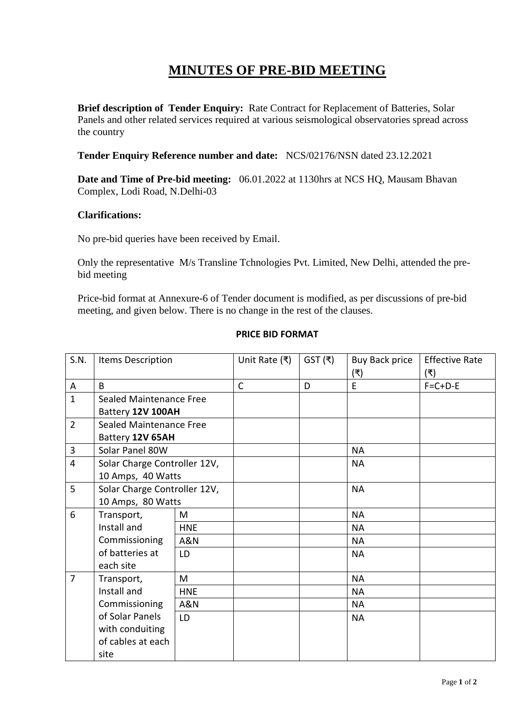## **MINUTES OF PRE-BID MEETING**

**Brief description of Tender Enquiry:** Rate Contract for Replacement of Batteries, Solar Panels and other related services required at various seismological observatories spread across the country

**Tender Enquiry Reference number and date:** NCS/02176/NSN dated 23.12.2021

**Date and Time of Pre-bid meeting:** 06.01.2022 at 1130hrs at NCS HQ, Mausam Bhavan Complex, Lodi Road, N.Delhi-03

## **Clarifications:**

No pre-bid queries have been received by Email.

Only the representative M/s Transline Tchnologies Pvt. Limited, New Delhi, attended the prebid meeting

Price-bid format at Annexure-6 of Tender document is modified, as per discussions of pre-bid meeting, and given below. There is no change in the rest of the clauses.

| S.N.           | Items Description                                 |            | Unit Rate (₹) | $GST(\bar{z})$ | <b>Buy Back price</b> | <b>Effective Rate</b> |
|----------------|---------------------------------------------------|------------|---------------|----------------|-----------------------|-----------------------|
|                |                                                   |            |               |                | (₹)                   | (₹)                   |
| A              | B                                                 |            | $\mathsf{C}$  | D              | E                     | $F=C+D-E$             |
| $\mathbf{1}$   | Sealed Maintenance Free<br>Battery 12V 100AH      |            |               |                |                       |                       |
|                |                                                   |            |               |                |                       |                       |
| $\overline{2}$ | Sealed Maintenance Free<br>Battery 12V 65AH       |            |               |                |                       |                       |
|                |                                                   |            |               |                |                       |                       |
| 3              | Solar Panel 80W                                   |            |               |                | <b>NA</b>             |                       |
| $\overline{4}$ | Solar Charge Controller 12V,                      |            |               |                | <b>NA</b>             |                       |
|                | 10 Amps, 40 Watts                                 |            |               |                |                       |                       |
| 5              | Solar Charge Controller 12V,<br>10 Amps, 80 Watts |            |               |                | <b>NA</b>             |                       |
|                |                                                   |            |               |                |                       |                       |
| 6              | Transport,                                        | M          |               |                | <b>NA</b>             |                       |
|                | Install and                                       | <b>HNE</b> |               |                | <b>NA</b>             |                       |
|                | Commissioning                                     | A&N        |               |                | <b>NA</b>             |                       |
|                | of batteries at                                   | LD         |               |                | <b>NA</b>             |                       |
|                | each site                                         |            |               |                |                       |                       |
| $\overline{7}$ | Transport,                                        | M          |               |                | <b>NA</b>             |                       |
|                | Install and                                       | <b>HNE</b> |               |                | <b>NA</b>             |                       |
|                | Commissioning                                     | A&N        |               |                | <b>NA</b>             |                       |
|                | of Solar Panels                                   | LD         |               |                | <b>NA</b>             |                       |
|                | with conduiting                                   |            |               |                |                       |                       |
|                | of cables at each                                 |            |               |                |                       |                       |
|                | site                                              |            |               |                |                       |                       |

## **PRICE BID FORMAT**